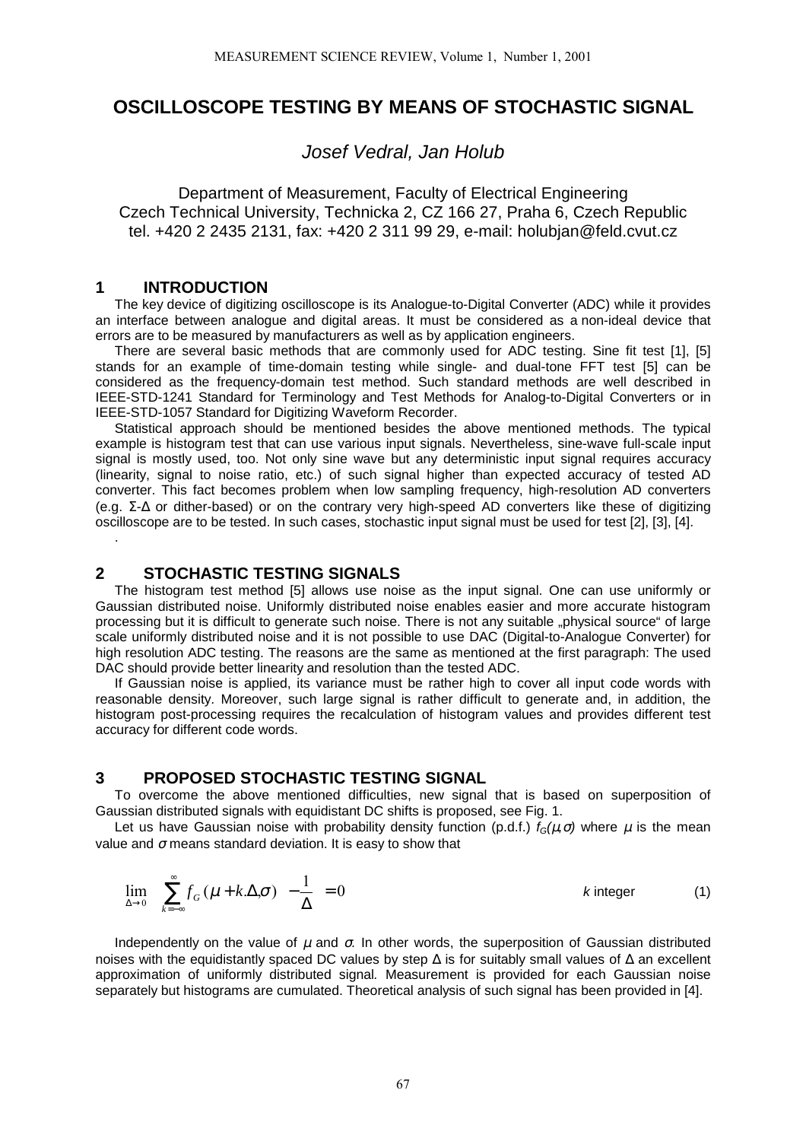# **OSCILLOSCOPE TESTING BY MEANS OF STOCHASTIC SIGNAL**

*Josef Vedral, Jan Holub*

Department of Measurement, Faculty of Electrical Engineering Czech Technical University, Technicka 2, CZ 166 27, Praha 6, Czech Republic tel. +420 2 2435 2131, fax: +420 2 311 99 29, e-mail: holubjan@feld.cvut.cz

#### **1 INTRODUCTION**

.

The key device of digitizing oscilloscope is its Analogue-to-Digital Converter (ADC) while it provides an interface between analogue and digital areas. It must be considered as a non-ideal device that errors are to be measured by manufacturers as well as by application engineers.

There are several basic methods that are commonly used for ADC testing. Sine fit test [1], [5] stands for an example of time-domain testing while single- and dual-tone FFT test [5] can be considered as the frequency-domain test method. Such standard methods are well described in IEEE-STD-1241 Standard for Terminology and Test Methods for Analog-to-Digital Converters or in IEEE-STD-1057 Standard for Digitizing Waveform Recorder.

Statistical approach should be mentioned besides the above mentioned methods. The typical example is histogram test that can use various input signals. Nevertheless, sine-wave full-scale input signal is mostly used, too. Not only sine wave but any deterministic input signal requires accuracy (linearity, signal to noise ratio, etc.) of such signal higher than expected accuracy of tested AD converter. This fact becomes problem when low sampling frequency, high-resolution AD converters (e.g. Σ-∆ or dither-based) or on the contrary very high-speed AD converters like these of digitizing oscilloscope are to be tested. In such cases, stochastic input signal must be used for test [2], [3], [4].

### **2 STOCHASTIC TESTING SIGNALS**

The histogram test method [5] allows use noise as the input signal. One can use uniformly or Gaussian distributed noise. Uniformly distributed noise enables easier and more accurate histogram processing but it is difficult to generate such noise. There is not any suitable "physical source" of large scale uniformly distributed noise and it is not possible to use DAC (Digital-to-Analogue Converter) for high resolution ADC testing. The reasons are the same as mentioned at the first paragraph: The used DAC should provide better linearity and resolution than the tested ADC.

If Gaussian noise is applied, its variance must be rather high to cover all input code words with reasonable density. Moreover, such large signal is rather difficult to generate and, in addition, the histogram post-processing requires the recalculation of histogram values and provides different test accuracy for different code words.

### **3 PROPOSED STOCHASTIC TESTING SIGNAL**

To overcome the above mentioned difficulties, new signal that is based on superposition of Gaussian distributed signals with equidistant DC shifts is proposed, see Fig. 1.

Let us have Gaussian noise with probability density function (p.d.f.)  $f_G(\mu, \sigma)$  where  $\mu$  is the mean value and  $\sigma$  means standard deviation. It is easy to show that

$$
\lim_{\Delta \to 0} \left[ \left( \sum_{k=-\infty}^{\infty} f_G \left( \mu + k \Delta \sigma \right) \right) - \frac{1}{\Delta} \right] = 0
$$
 k integer (1)

Independently on the value of µ and σ*.* In other words, the superposition of Gaussian distributed noises with the equidistantly spaced DC values by step ∆ is for suitably small values of ∆ an excellent approximation of uniformly distributed signal*.* Measurement is provided for each Gaussian noise separately but histograms are cumulated. Theoretical analysis of such signal has been provided in [4].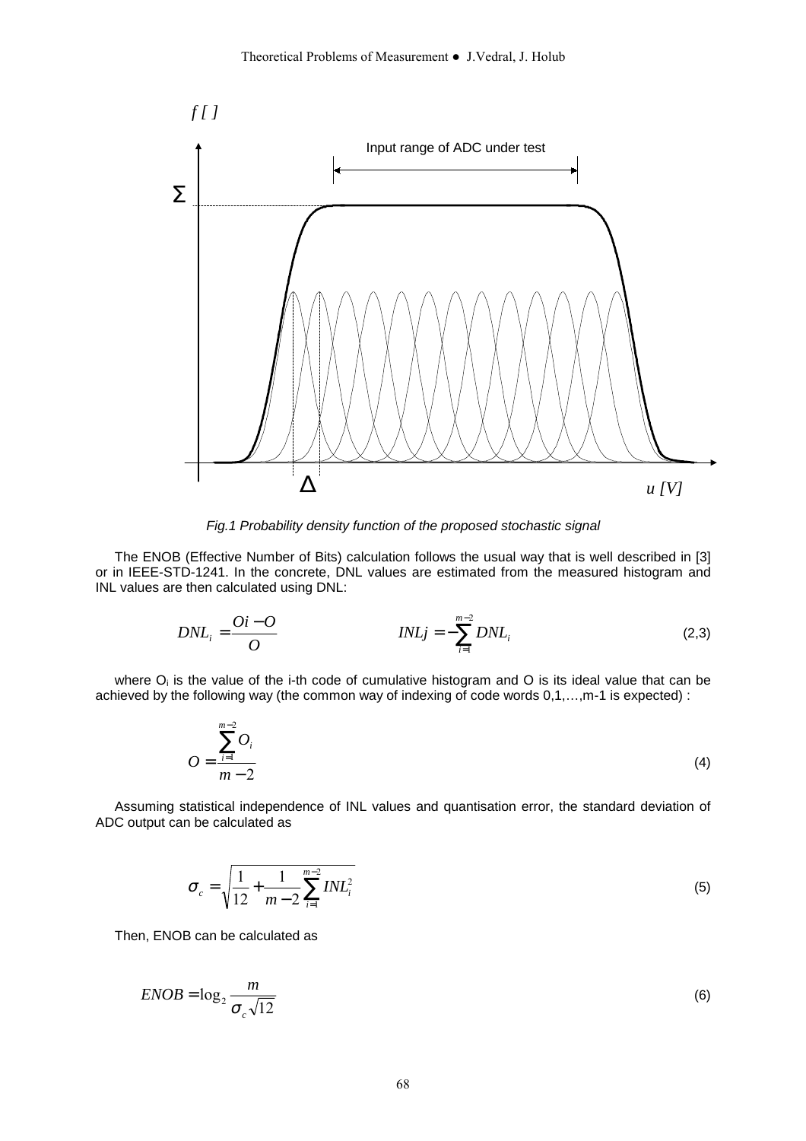

*Fig.1 Probability density function of the proposed stochastic signal*

The ENOB (Effective Number of Bits) calculation follows the usual way that is well described in [3] or in IEEE-STD-1241. In the concrete, DNL values are estimated from the measured histogram and INL values are then calculated using DNL:

$$
DNL_i = \frac{Qi - O}{O} \qquad \qquad INLj = -\sum_{i=1}^{m-2} DNL_i \qquad (2,3)
$$

where  $O_i$  is the value of the i-th code of cumulative histogram and  $O$  is its ideal value that can be achieved by the following way (the common way of indexing of code words 0,1,…,m-1 is expected) :

$$
O = \frac{\sum_{i=1}^{m-2} O_i}{m-2}
$$
 (4)

Assuming statistical independence of INL values and quantisation error, the standard deviation of ADC output can be calculated as

$$
\sigma_c = \sqrt{\frac{1}{12} + \frac{1}{m-2} \sum_{i=1}^{m-2} INL_i^2}
$$
\n(5)

Then, ENOB can be calculated as

$$
ENOB = \log_2 \frac{m}{\sigma_c \sqrt{12}}
$$
 (6)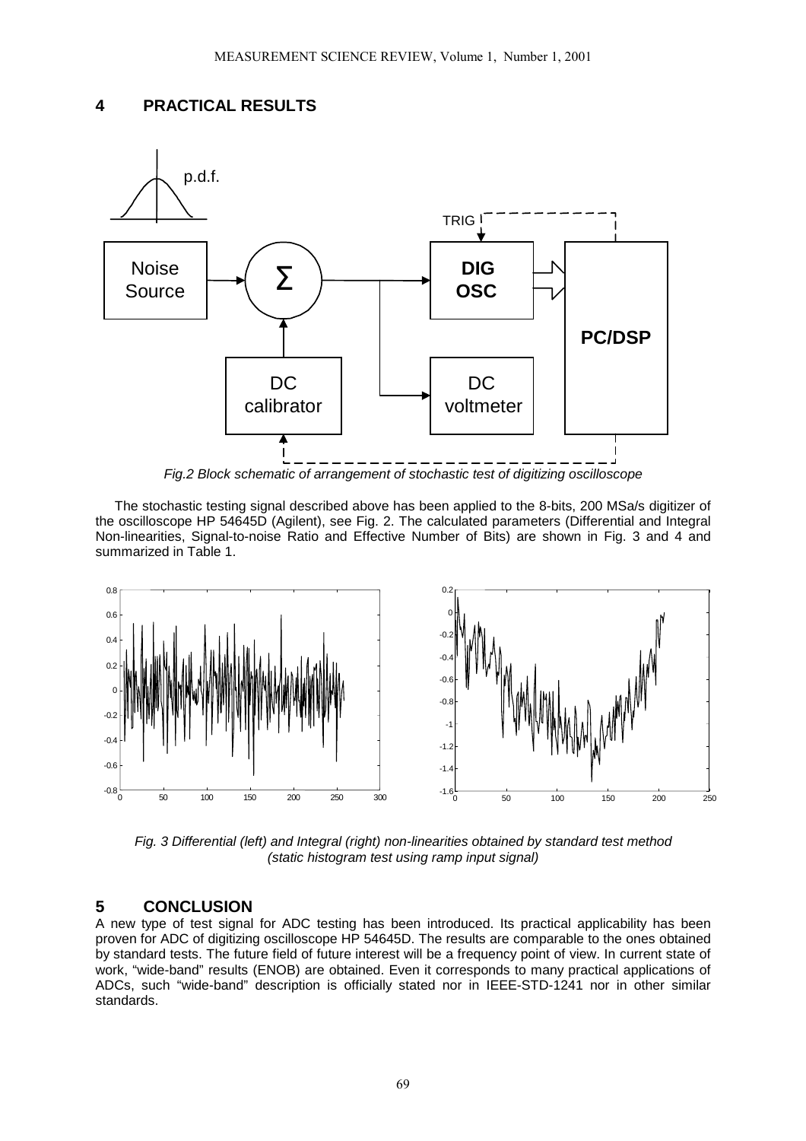### **4 PRACTICAL RESULTS**



*Fig.2 Block schematic of arrangement of stochastic test of digitizing oscilloscope*

The stochastic testing signal described above has been applied to the 8-bits, 200 MSa/s digitizer of the oscilloscope HP 54645D (Agilent), see Fig. 2. The calculated parameters (Differential and Integral Non-linearities, Signal-to-noise Ratio and Effective Number of Bits) are shown in Fig. 3 and 4 and summarized in Table 1.



*Fig. 3 Differential (left) and Integral (right) non-linearities obtained by standard test method (static histogram test using ramp input signal)*

## **5 CONCLUSION**

A new type of test signal for ADC testing has been introduced. Its practical applicability has been proven for ADC of digitizing oscilloscope HP 54645D. The results are comparable to the ones obtained by standard tests. The future field of future interest will be a frequency point of view. In current state of work, "wide-band" results (ENOB) are obtained. Even it corresponds to many practical applications of ADCs, such "wide-band" description is officially stated nor in IEEE-STD-1241 nor in other similar standards.